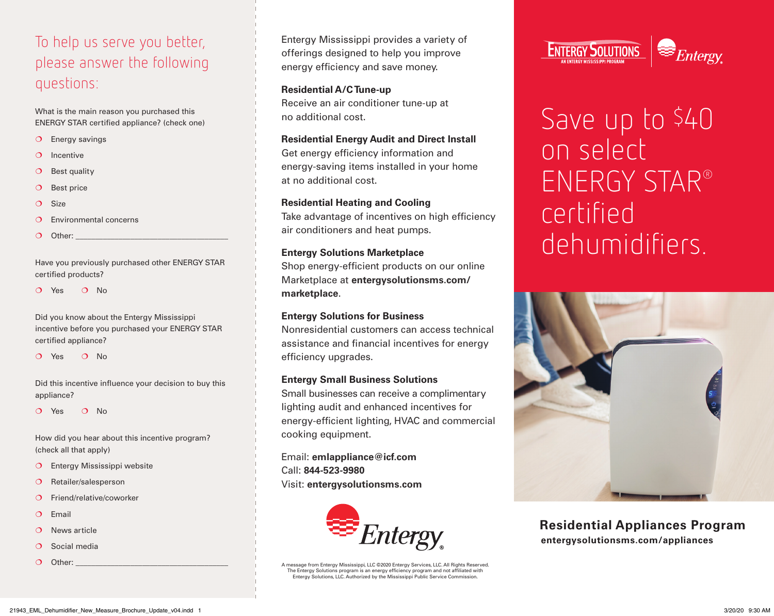## To help us serve you better, please answer the following questions:

What is the main reason you purchased this ENERGY STAR certified appliance? (check one)

- O Energy savings
- $O$  Incentive
- $O$  Best quality
- O Best price
- $O$  Size
- $\Omega$  Environmental concerns
- $O$  Other:

Have you previously purchased other ENERGY STAR certified products?

Q Yes Q No.

Did you know about the Entergy Mississippi incentive before you purchased your ENERGY STAR certified appliance?

O Yes O No

Did this incentive influence your decision to buy this appliance?

Q Yes Q No.

How did you hear about this incentive program? (check all that apply)

- O Entergy Mississippi website
- O Retailer/salesperson
- O Friend/relative/coworker
- $O$  Email
- O News article
- $O$  Social media
- $O$  Other:

Entergy Mississippi provides a variety of offerings designed to help you improve energy efficiency and save money.

### **Residential A/C Tune-up**

Receive an air conditioner tune-up at no additional cost.

### **Residential Energy Audit and Direct Install**

Get energy efficiency information and energy-saving items installed in your home at no additional cost.

### **Residential Heating and Cooling**

Take advantage of incentives on high efficiency air conditioners and heat pumps.

### **Entergy Solutions Marketplace**

Shop energy-efficient products on our online Marketplace at **[entergysolutionsms.com/](http://entergysolutionsms.com/marketplace) [marketplace](http://entergysolutionsms.com/marketplace)**.

### **Entergy Solutions for Business**

Nonresidential customers can access technical assistance and financial incentives for energy efficiency upgrades.

### **Entergy Small Business Solutions**

Small businesses can receive a complimentary lighting audit and enhanced incentives for energy-efficient lighting, HVAC and commercial cooking equipment.

Email: **[emlappliance@icf.com](mailto:emlappliance@icf.com)** Call: **844-523-9980** Visit: **[entergysolutionsms.com](http://entergysolutionsms.com)**



A message from Entergy Mississippi, LLC ©2020 Entergy Services, LLC. All Rights Reserved. The Entergy Solutions program is an energy efficiency program and not affiliated with Entergy Solutions, LLC. Authorized by the Mississippi Public Service Commission.



# Save up to \$40 on select ENERGY STAR® certified dehumidifiers.



**[entergysolutionsms.com/appliances](http://entergysolutionsms.com/appliances) Residential Appliances Program**